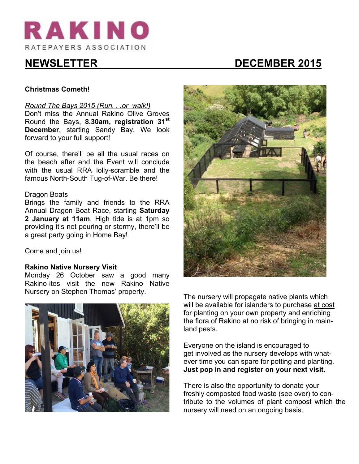

# **NEWSLETTER DECEMBER 2015**

# **Christmas Cometh!**

#### *Round The Bays 2015 (Run. . .or walk!)*

Don't miss the Annual Rakino Olive Groves Round the Bays, **8.30am, registration 31st December**, starting Sandy Bay. We look forward to your full support!

Of course, there'll be all the usual races on the beach after and the Event will conclude with the usual RRA lolly-scramble and the famous North-South Tug-of-War. Be there!

#### Dragon Boats

Brings the family and friends to the RRA Annual Dragon Boat Race, starting **Saturday 2 January at 11am**. High tide is at 1pm so providing it's not pouring or stormy, there'll be a great party going in Home Bay!

Come and join us!

#### **Rakino Native Nursery Visit**

Monday 26 October saw a good many Rakino-ites visit the new Rakino Native Nursery on Stephen Thomas' property. The nursery will propagate native plants which





will be available for islanders to purchase at cost for planting on your own property and enriching the flora of Rakino at no risk of bringing in mainland pests.

Everyone on the island is encouraged to get involved as the nursery develops with whatever time you can spare for potting and planting. **Just pop in and register on your next visit.**

There is also the opportunity to donate your freshly composted food waste (see over) to contribute to the volumes of plant compost which the nursery will need on an ongoing basis.